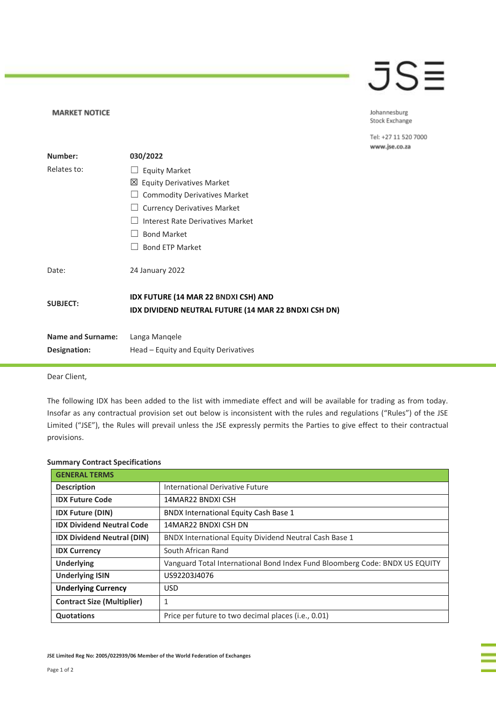## JSE

Johannesburg Stock Exchange

Tel: +27 11 520 7000 www.jse.co.za

| Number:                  | 030/2022                                                                                            |
|--------------------------|-----------------------------------------------------------------------------------------------------|
| Relates to:              | <b>Equity Market</b>                                                                                |
|                          | ⊠ Equity Derivatives Market                                                                         |
|                          | $\Box$ Commodity Derivatives Market                                                                 |
|                          | <b>Currency Derivatives Market</b>                                                                  |
|                          | Interest Rate Derivatives Market                                                                    |
|                          | <b>Bond Market</b>                                                                                  |
|                          | <b>Bond ETP Market</b>                                                                              |
| Date:                    | 24 January 2022                                                                                     |
| <b>SUBJECT:</b>          | <b>IDX FUTURE (14 MAR 22 BNDXI CSH) AND</b><br>IDX DIVIDEND NEUTRAL FUTURE (14 MAR 22 BNDXI CSH DN) |
| <b>Name and Surname:</b> | Langa Mangele                                                                                       |
| Designation:             | Head – Equity and Equity Derivatives                                                                |

Dear Client,

**MARKET NOTICE** 

The following IDX has been added to the list with immediate effect and will be available for trading as from today. Insofar as any contractual provision set out below is inconsistent with the rules and regulations ("Rules") of the JSE Limited ("JSE"), the Rules will prevail unless the JSE expressly permits the Parties to give effect to their contractual provisions.

| <b>GENERAL TERMS</b>              |                                                                             |
|-----------------------------------|-----------------------------------------------------------------------------|
| <b>Description</b>                | <b>International Derivative Future</b>                                      |
| <b>IDX Future Code</b>            | 14MAR22 BNDXI CSH                                                           |
| <b>IDX Future (DIN)</b>           | <b>BNDX International Equity Cash Base 1</b>                                |
| <b>IDX Dividend Neutral Code</b>  | 14MAR22 BNDXI CSH DN                                                        |
| <b>IDX Dividend Neutral (DIN)</b> | BNDX International Equity Dividend Neutral Cash Base 1                      |
| <b>IDX Currency</b>               | South African Rand                                                          |
| <b>Underlying</b>                 | Vanguard Total International Bond Index Fund Bloomberg Code: BNDX US EQUITY |
| <b>Underlying ISIN</b>            | US92203J4076                                                                |
| <b>Underlying Currency</b>        | USD.                                                                        |
| <b>Contract Size (Multiplier)</b> | 1                                                                           |
| <b>Quotations</b>                 | Price per future to two decimal places ( <i>i.e.</i> , 0.01)                |

## **Summary Contract Specifications**